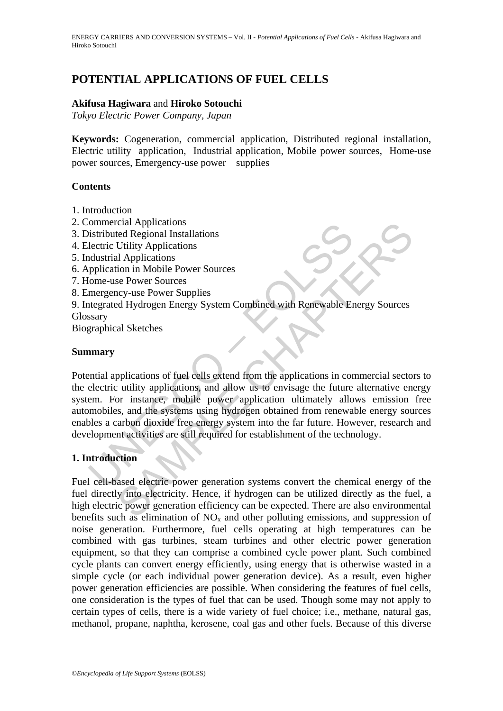# **POTENTIAL APPLICATIONS OF FUEL CELLS**

## **Akifusa Hagiwara** and **Hiroko Sotouchi**

*Tokyo Electric Power Company, Japan* 

**Keywords:** Cogeneration, commercial application, Distributed regional installation, Electric utility application, Industrial application, Mobile power sources, Home-use power sources, Emergency-use power supplies

#### **Contents**

- 1. Introduction
- 2. Commercial Applications
- 3. Distributed Regional Installations
- 4. Electric Utility Applications
- 5. Industrial Applications
- 6. Application in Mobile Power Sources
- 7. Home-use Power Sources
- 8. Emergency-use Power Supplies
- 9. Integrated Hydrogen Energy System Combined with Renewable Energy Sources **Glossary**

Biographical Sketches

### **Summary**

ommercial Applications<br>
sixtributed Regional Installations<br>
sixtributed Regional Installations<br>
descrite Utility Applications<br>
dustrial Applications<br>
dustrial Applications<br>
ome-use Power Sources<br>
mergency-use Power Supplie Cal Applications<br>
Etal Regional Installations<br>
Utility Applications<br>
Utility Applications<br>
Utility Applications<br>
Le Power Sources<br>
Server Surves<br>
Server Surves<br>
Energy System Combined with Renewable Energy Sources<br>
al Sket Potential applications of fuel cells extend from the applications in commercial sectors to the electric utility applications, and allow us to envisage the future alternative energy system. For instance, mobile power application ultimately allows emission free automobiles, and the systems using hydrogen obtained from renewable energy sources enables a carbon dioxide free energy system into the far future. However, research and development activities are still required for establishment of the technology.

# **1. Introduction**

Fuel cell-based electric power generation systems convert the chemical energy of the fuel directly into electricity. Hence, if hydrogen can be utilized directly as the fuel, a high electric power generation efficiency can be expected. There are also environmental benefits such as elimination of  $NO<sub>x</sub>$  and other polluting emissions, and suppression of noise generation. Furthermore, fuel cells operating at high temperatures can be combined with gas turbines, steam turbines and other electric power generation equipment, so that they can comprise a combined cycle power plant. Such combined cycle plants can convert energy efficiently, using energy that is otherwise wasted in a simple cycle (or each individual power generation device). As a result, even higher power generation efficiencies are possible. When considering the features of fuel cells, one consideration is the types of fuel that can be used. Though some may not apply to certain types of cells, there is a wide variety of fuel choice; i.e., methane, natural gas, methanol, propane, naphtha, kerosene, coal gas and other fuels. Because of this diverse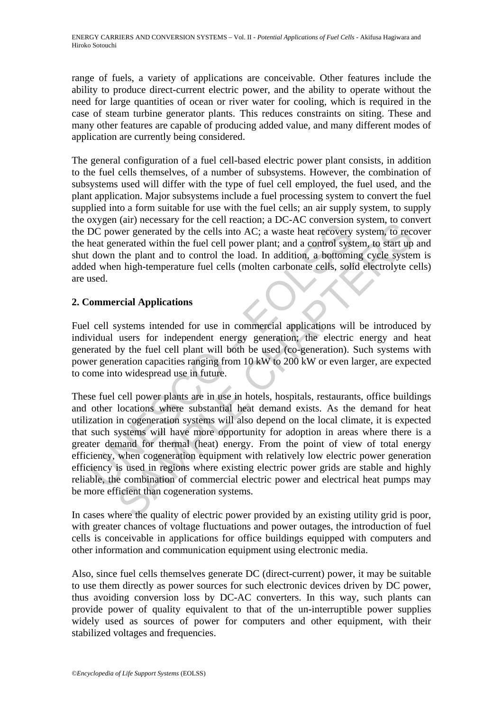range of fuels, a variety of applications are conceivable. Other features include the ability to produce direct-current electric power, and the ability to operate without the need for large quantities of ocean or river water for cooling, which is required in the case of steam turbine generator plants. This reduces constraints on siting. These and many other features are capable of producing added value, and many different modes of application are currently being considered.

The general configuration of a fuel cell-based electric power plant consists, in addition to the fuel cells themselves, of a number of subsystems. However, the combination of subsystems used will differ with the type of fuel cell employed, the fuel used, and the plant application. Major subsystems include a fuel processing system to convert the fuel supplied into a form suitable for use with the fuel cells; an air supply system, to supply the oxygen (air) necessary for the cell reaction; a DC-AC conversion system, to convert the DC power generated by the cells into AC; a waste heat recovery system, to recover the heat generated within the fuel cell power plant; and a control system, to start up and shut down the plant and to control the load. In addition, a bottoming cycle system is added when high-temperature fuel cells (molten carbonate cells, solid electrolyte cells) are used.

# **2. Commercial Applications**

Fuel cell systems intended for use in commercial applications will be introduced by individual users for independent energy generation; the electric energy and heat generated by the fuel cell plant will both be used (co-generation). Such systems with power generation capacities ranging from 10 kW to 200 kW or even larger, are expected to come into widespread use in future.

Solve (un'incessar y ar an eva-reacted by the cells into AC; a waste heat recovery<br>DC power generated by the cells into AC; a waste heat recovery<br>heat generated within the fuel cell power plant; and a control syst<br>down the (an) necessary of the certication, a De-Acc conversion system, to control<br>wer generated by the cells into AC; a waste heat recovery system, to contracted within the fuel cell power plant; and a control system, to start up<br> These fuel cell power plants are in use in hotels, hospitals, restaurants, office buildings and other locations where substantial heat demand exists. As the demand for heat utilization in cogeneration systems will also depend on the local climate, it is expected that such systems will have more opportunity for adoption in areas where there is a greater demand for thermal (heat) energy. From the point of view of total energy efficiency, when cogeneration equipment with relatively low electric power generation efficiency is used in regions where existing electric power grids are stable and highly reliable, the combination of commercial electric power and electrical heat pumps may be more efficient than cogeneration systems.

In cases where the quality of electric power provided by an existing utility grid is poor, with greater chances of voltage fluctuations and power outages, the introduction of fuel cells is conceivable in applications for office buildings equipped with computers and other information and communication equipment using electronic media.

Also, since fuel cells themselves generate DC (direct-current) power, it may be suitable to use them directly as power sources for such electronic devices driven by DC power, thus avoiding conversion loss by DC-AC converters. In this way, such plants can provide power of quality equivalent to that of the un-interruptible power supplies widely used as sources of power for computers and other equipment, with their stabilized voltages and frequencies.